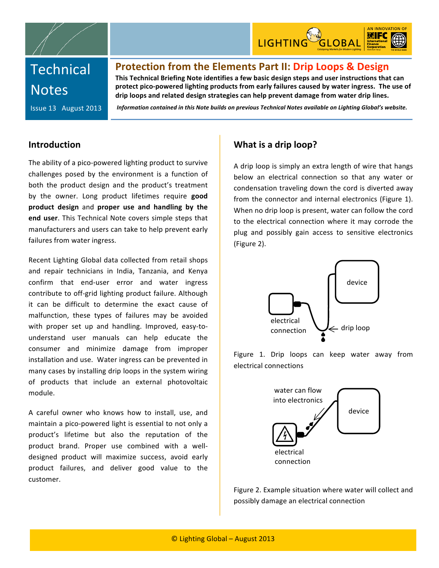



# **Technical Notes**

# Protection from the Elements Part II: Drip Loops & Design

This Technical Briefing Note identifies a few basic design steps and user instructions that can protect pico-powered lighting products from early failures caused by water ingress. The use of drip loops and related design strategies can help prevent damage from water drip lines.

Issue
13

August
2013

*Information
contained
in
this
Note
builds
on
previous
Technical
Notes
available
on
Lighting
Global's
website.*

## **Introduction**

The ability of a pico-powered lighting product to survive challenges
 posed
 by
 the
 environment
 is
 a
 function
 of both the
 product
 design
 and the
 product's treatment by the owner. Long product lifetimes require good product design and proper use and handling by the end user. This Technical Note covers simple steps that manufacturers
and
users
can
take
to
help
prevent
early failures
from
water
ingress.

Recent
Lighting
Global
data
collected
 from
retail
shops and repair technicians in India, Tanzania, and Kenya confirm
 that
 end‐user
 error
 and
 water
 ingress contribute
to
off‐grid
lighting
product
failure. Although it
 can
 be
 difficult
 to
 determine
 the
 exact
 cause
 of malfunction,
 these
 types
 of
 failures
 may
 be
 avoided with proper set up and handling. Improved, easy-tounderstand
 user
 manuals
 can
 help
 educate
 the consumer
 and
 minimize damage
 from improper installation
and
use.

Water
ingress
can
be
prevented
in many
cases
by
installing
drip
loops
in
the
system
wiring of
 products
 that
 include
 an
 external
 photovoltaic module.

A careful owner who knows how to install, use, and maintain a pico-powered light is essential to not only a product's
 lifetime
 but
 also
 the
 reputation
 of
 the product brand. Proper use combined with a welldesigned product will maximize success, avoid early product
 failures,
 and
 deliver
 good
 value
 to the customer.

## **What
is
a
drip
loop?**

A
drip
loop
is
simply
an
extra
length
of
wire
that
hangs below an electrical connection so that any water or condensation
traveling
down
the
cord
is
diverted
away from the connector and internal electronics (Figure 1). When
no
drip
loop
is
present,
water
can
follow
the
cord to
 the
 electrical
 connection
 where
 it
 may
 corrode
 the plug
 and
 possibly
 gain
 access
 to
 sensitive
 electronics (Figure
2).



Figure 1. Drip loops can keep water away from electrical
connections



Figure
2. Example
situation
where
water
will
collect
and possibly
damage
an
electrical
connection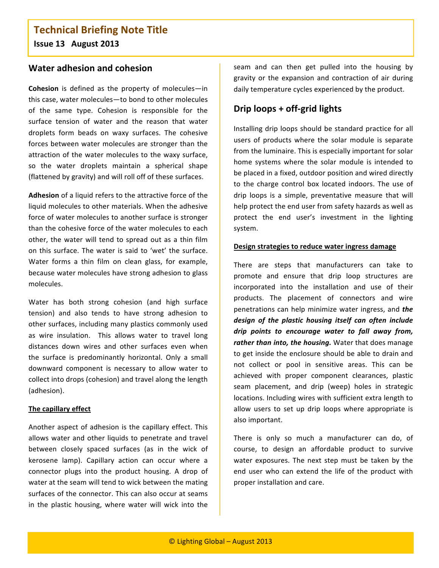# **Technical
Briefing
Note
Title Issue
13

August
2013**

## **Water
adhesion
and
cohesion**

**Cohesion** is defined as the property of molecules-in this
case,
water
molecules—to
bond
to
other
molecules of
 the
 same
 type.
 Cohesion
 is
 responsible
 for
 the surface tension of water and the reason that water droplets form
 beads
 on
 waxy
 surfaces.
 The
 cohesive forces
between
water
molecules
are
stronger
 than
 the attraction of the water molecules to the waxy surface, so the water droplets maintain a spherical shape (flattened
by
gravity)
and
will
roll
off
of
these
surfaces.

Adhesion of a liquid refers to the attractive force of the liquid molecules to other materials. When the adhesive force
of
water
molecules
to
another
surface
is
stronger than
the
cohesive
force
of
the
water
molecules
to
each other, the water will tend to spread out as a thin film on
 this
 surface.
The
water
 is
 said
 to
'wet'
 the
 surface. Water forms a thin film on clean glass, for example, because
water
molecules
have
strong
adhesion
to
glass molecules.

Water has both strong cohesion (and high surface tension) and also tends to have strong adhesion to other
surfaces,
including
many
plastics
commonly
used as wire insulation. This allows water to travel long distances down wires and other surfaces even when the surface is predominantly horizontal. Only a small downward component is necessary to allow water to collect
into
drops
(cohesion)
and
travel
along
the
length (adhesion).

#### **The
capillary
effect**

Another
aspect
of
adhesion
is
 the
capillary
effect.
This allows water and other liquids to penetrate and travel between
 closely
 spaced
 surfaces
 (as
 in
 the
 wick
 of kerosene lamp). Capillary action can occur where a connector plugs into the product housing. A drop of water at the seam will tend to wick between the mating surfaces of the connector. This can also occur at seams in
 the
 plastic
 housing,
 where
 water
 will
 wick
 into
 the

seam and can then get pulled into the housing by gravity or the expansion and contraction of air during daily temperature cycles experienced by the product.

## Drip loops + off-grid lights

Installing drip loops should be standard practice for all users
 of
 products
 where
 the
 solar
module
 is
 separate from
the
luminaire.
This
is
especially
important
for
solar home systems where the solar module is intended to be
placed
in
a
fixed,
outdoor
position
and
wired
directly to
 the
 charge
 control
 box
 located
 indoors.
 The
 use
 of drip loops is a simple, preventative measure that will help protect the end user from safety hazards as well as protect
 the
 end
 user's
 investment
 in
 the
 lighting system.

#### **Design
strategies
to
reduce
water
ingress
damage**

There are steps that manufacturers can take to promote and ensure that drip loop structures are incorporated into the installation and use of their products.
 The
 placement
 of
 connectors
 and
 wire penetrations
can
help
minimize
water
ingress,
and *the*  design of the plastic housing itself can often include drip points to encourage water to fall away from, rather than into, the housing. Water that does manage to get inside the enclosure should be able to drain and not collect or pool in sensitive areas. This can be achieved
 with
 proper
 component
 clearances,
 plastic seam
 placement,
 and
 drip
 (weep)
 holes
 in
 strategic locations.
Including
wires
with
sufficient
extra
length
to allow users to set up drip loops where appropriate is also
important.

There is only so much a manufacturer can do, of course,
 to
 design
 an
 affordable
 product
 to
 survive water exposures. The next step must be taken by the end user who can extend the life of the product with proper
installation
and
care.